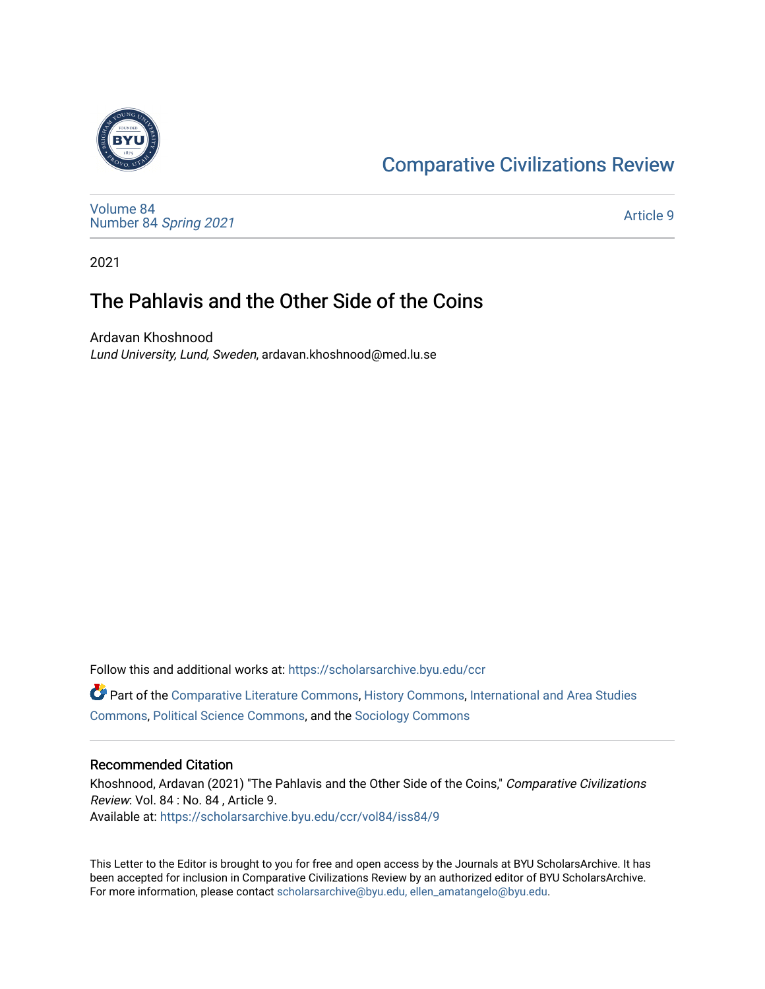## **Comparative Civilizations Review**

[Volume 84](https://scholarsarchive.byu.edu/ccr/vol84) [Number 84](https://scholarsarchive.byu.edu/ccr/vol84/iss84) Spring 2021

[Article 9](https://scholarsarchive.byu.edu/ccr/vol84/iss84/9) 

2021

# The Pahlavis and the Other Side of the Coins

Ardavan Khoshnood Lund University, Lund, Sweden, ardavan.khoshnood@med.lu.se

Follow this and additional works at: [https://scholarsarchive.byu.edu/ccr](https://scholarsarchive.byu.edu/ccr?utm_source=scholarsarchive.byu.edu%2Fccr%2Fvol84%2Fiss84%2F9&utm_medium=PDF&utm_campaign=PDFCoverPages) 

 Part of the [Comparative Literature Commons](http://network.bepress.com/hgg/discipline/454?utm_source=scholarsarchive.byu.edu%2Fccr%2Fvol84%2Fiss84%2F9&utm_medium=PDF&utm_campaign=PDFCoverPages), [History Commons,](http://network.bepress.com/hgg/discipline/489?utm_source=scholarsarchive.byu.edu%2Fccr%2Fvol84%2Fiss84%2F9&utm_medium=PDF&utm_campaign=PDFCoverPages) [International and Area Studies](http://network.bepress.com/hgg/discipline/360?utm_source=scholarsarchive.byu.edu%2Fccr%2Fvol84%2Fiss84%2F9&utm_medium=PDF&utm_campaign=PDFCoverPages) [Commons](http://network.bepress.com/hgg/discipline/360?utm_source=scholarsarchive.byu.edu%2Fccr%2Fvol84%2Fiss84%2F9&utm_medium=PDF&utm_campaign=PDFCoverPages), [Political Science Commons](http://network.bepress.com/hgg/discipline/386?utm_source=scholarsarchive.byu.edu%2Fccr%2Fvol84%2Fiss84%2F9&utm_medium=PDF&utm_campaign=PDFCoverPages), and the [Sociology Commons](http://network.bepress.com/hgg/discipline/416?utm_source=scholarsarchive.byu.edu%2Fccr%2Fvol84%2Fiss84%2F9&utm_medium=PDF&utm_campaign=PDFCoverPages)

#### **Recommended Citation**

Khoshnood, Ardavan (2021) "The Pahlavis and the Other Side of the Coins," Comparative Civilizations Review: Vol. 84 : No. 84 , Article 9. Available at: [https://scholarsarchive.byu.edu/ccr/vol84/iss84/9](https://scholarsarchive.byu.edu/ccr/vol84/iss84/9?utm_source=scholarsarchive.byu.edu%2Fccr%2Fvol84%2Fiss84%2F9&utm_medium=PDF&utm_campaign=PDFCoverPages)

This Letter to the Editor is brought to you for free and open access by the Journals at BYU ScholarsArchive. It has been accepted for inclusion in Comparative Civilizations Review by an authorized editor of BYU ScholarsArchive. For more information, please contact [scholarsarchive@byu.edu, ellen\\_amatangelo@byu.edu](mailto:scholarsarchive@byu.edu,%20ellen_amatangelo@byu.edu).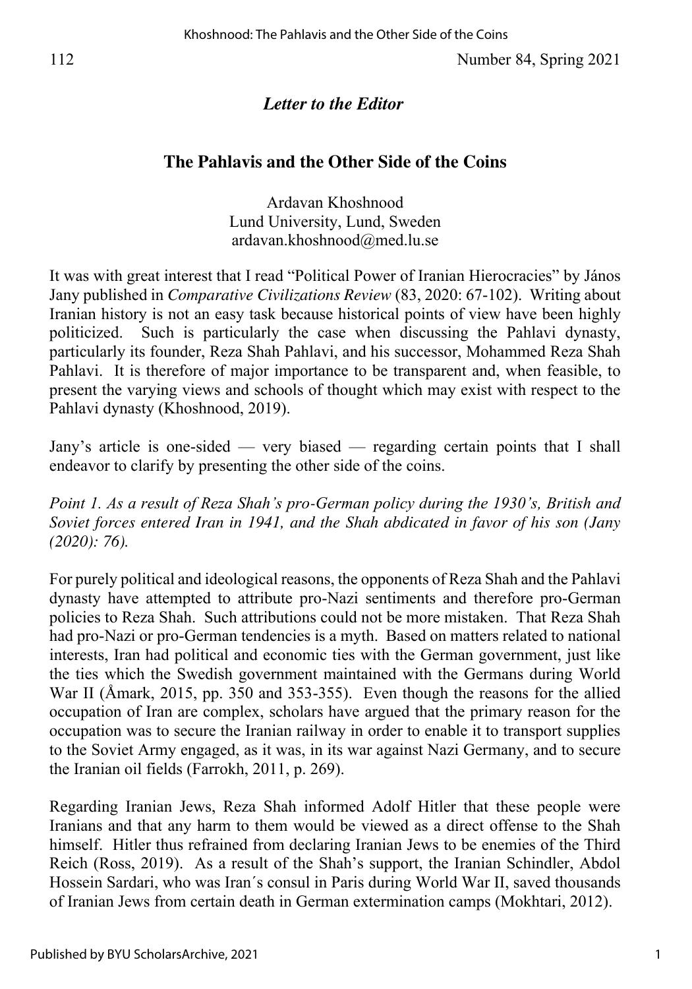## *Letter to the Editor*

### **The Pahlavis and the Other Side of the Coins**

Ardavan Khoshnood Lund University, Lund, Sweden ardavan.khoshnood@med.lu.se

It was with great interest that I read "Political Power of Iranian Hierocracies" by János Jany published in *Comparative Civilizations Review* (83, 2020: 67-102). Writing about Iranian history is not an easy task because historical points of view have been highly politicized. Such is particularly the case when discussing the Pahlavi dynasty, particularly its founder, Reza Shah Pahlavi, and his successor, Mohammed Reza Shah Pahlavi. It is therefore of major importance to be transparent and, when feasible, to present the varying views and schools of thought which may exist with respect to the Pahlavi dynasty (Khoshnood, 2019).

Jany's article is one-sided — very biased — regarding certain points that I shall endeavor to clarify by presenting the other side of the coins.

*Point 1. As a result of Reza Shah's pro-German policy during the 1930's, British and Soviet forces entered Iran in 1941, and the Shah abdicated in favor of his son (Jany (2020): 76).* 

For purely political and ideological reasons, the opponents of Reza Shah and the Pahlavi dynasty have attempted to attribute pro-Nazi sentiments and therefore pro-German policies to Reza Shah. Such attributions could not be more mistaken. That Reza Shah had pro-Nazi or pro-German tendencies is a myth. Based on matters related to national interests, Iran had political and economic ties with the German government, just like the ties which the Swedish government maintained with the Germans during World War II (Åmark, 2015, pp. 350 and 353-355). Even though the reasons for the allied occupation of Iran are complex, scholars have argued that the primary reason for the occupation was to secure the Iranian railway in order to enable it to transport supplies to the Soviet Army engaged, as it was, in its war against Nazi Germany, and to secure the Iranian oil fields (Farrokh, 2011, p. 269).

Regarding Iranian Jews, Reza Shah informed Adolf Hitler that these people were Iranians and that any harm to them would be viewed as a direct offense to the Shah himself. Hitler thus refrained from declaring Iranian Jews to be enemies of the Third Reich (Ross, 2019). As a result of the Shah's support, the Iranian Schindler, Abdol Hossein Sardari, who was Iran´s consul in Paris during World War II, saved thousands of Iranian Jews from certain death in German extermination camps (Mokhtari, 2012).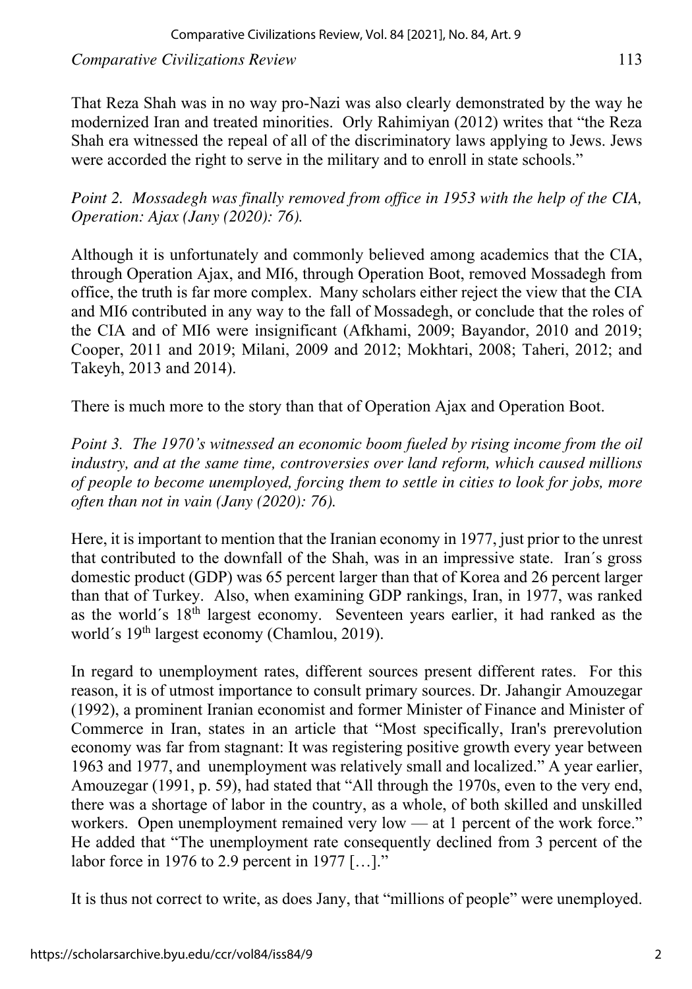*Comparative Civilizations Review* 113

That Reza Shah was in no way pro-Nazi was also clearly demonstrated by the way he modernized Iran and treated minorities. Orly Rahimiyan (2012) writes that "the Reza Shah era witnessed the repeal of all of the discriminatory laws applying to Jews. Jews were accorded the right to serve in the military and to enroll in state schools."

*Point 2. Mossadegh was finally removed from office in 1953 with the help of the CIA, Operation: Ajax (Jany (2020): 76).* 

Although it is unfortunately and commonly believed among academics that the CIA, through Operation Ajax, and MI6, through Operation Boot, removed Mossadegh from office, the truth is far more complex. Many scholars either reject the view that the CIA and MI6 contributed in any way to the fall of Mossadegh, or conclude that the roles of the CIA and of MI6 were insignificant (Afkhami, 2009; Bayandor, 2010 and 2019; Cooper, 2011 and 2019; Milani, 2009 and 2012; Mokhtari, 2008; Taheri, 2012; and Takeyh, 2013 and 2014).

There is much more to the story than that of Operation Ajax and Operation Boot.

*Point 3. The 1970's witnessed an economic boom fueled by rising income from the oil industry, and at the same time, controversies over land reform, which caused millions of people to become unemployed, forcing them to settle in cities to look for jobs, more often than not in vain (Jany (2020): 76).* 

Here, it is important to mention that the Iranian economy in 1977, just prior to the unrest that contributed to the downfall of the Shah, was in an impressive state. Iran´s gross domestic product (GDP) was 65 percent larger than that of Korea and 26 percent larger than that of Turkey. Also, when examining GDP rankings, Iran, in 1977, was ranked as the world´s 18th largest economy. Seventeen years earlier, it had ranked as the world's 19<sup>th</sup> largest economy (Chamlou, 2019).

In regard to unemployment rates, different sources present different rates. For this reason, it is of utmost importance to consult primary sources. Dr. Jahangir Amouzegar (1992), a prominent Iranian economist and former Minister of Finance and Minister of Commerce in Iran, states in an article that "Most specifically, Iran's prerevolution economy was far from stagnant: It was registering positive growth every year between 1963 and 1977, and unemployment was relatively small and localized." A year earlier, Amouzegar (1991, p. 59), had stated that "All through the 1970s, even to the very end, there was a shortage of labor in the country, as a whole, of both skilled and unskilled workers. Open unemployment remained very low — at 1 percent of the work force." He added that "The unemployment rate consequently declined from 3 percent of the labor force in 1976 to 2.9 percent in 1977 […]."

It is thus not correct to write, as does Jany, that "millions of people" were unemployed.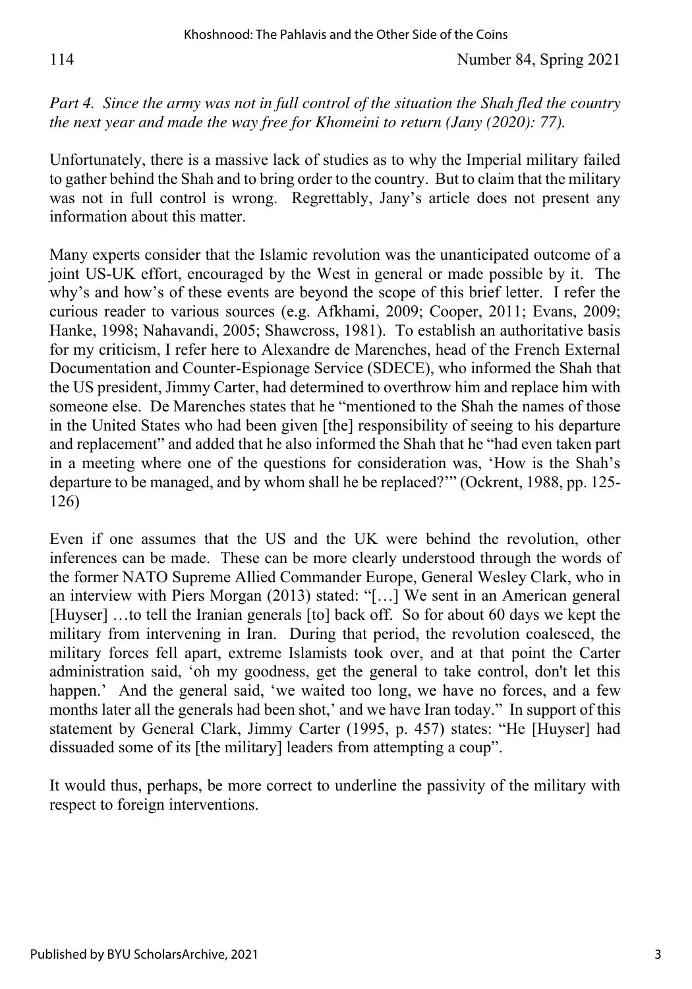114 Number 84, Spring 2021

*Part 4.* Since the army was not in full control of the situation the Shah fled the country *the next year and made the way free for Khomeini to return (Jany (2020): 77).* 

Unfortunately, there is a massive lack of studies as to why the Imperial military failed to gather behind the Shah and to bring order to the country. But to claim that the military was not in full control is wrong. Regrettably, Jany's article does not present any information about this matter.

Many experts consider that the Islamic revolution was the unanticipated outcome of a joint US-UK effort, encouraged by the West in general or made possible by it. The why's and how's of these events are beyond the scope of this brief letter. I refer the curious reader to various sources (e.g. Afkhami, 2009; Cooper, 2011; Evans, 2009; Hanke, 1998; Nahavandi, 2005; Shawcross, 1981). To establish an authoritative basis for my criticism, I refer here to Alexandre de Marenches, head of the French External Documentation and Counter-Espionage Service (SDECE), who informed the Shah that the US president, Jimmy Carter, had determined to overthrow him and replace him with someone else. De Marenches states that he "mentioned to the Shah the names of those in the United States who had been given [the] responsibility of seeing to his departure and replacement" and added that he also informed the Shah that he "had even taken part in a meeting where one of the questions for consideration was, 'How is the Shah's departure to be managed, and by whom shall he be replaced?'" (Ockrent, 1988, pp. 125- 126)

Even if one assumes that the US and the UK were behind the revolution, other inferences can be made. These can be more clearly understood through the words of the former NATO Supreme Allied Commander Europe, General Wesley Clark, who in an interview with Piers Morgan (2013) stated: "[…] We sent in an American general [Huyser] ...to tell the Iranian generals [to] back off. So for about 60 days we kept the military from intervening in Iran. During that period, the revolution coalesced, the military forces fell apart, extreme Islamists took over, and at that point the Carter administration said, 'oh my goodness, get the general to take control, don't let this happen.' And the general said, 'we waited too long, we have no forces, and a few months later all the generals had been shot,' and we have Iran today." In support of this statement by General Clark, Jimmy Carter (1995, p. 457) states: "He [Huyser] had dissuaded some of its [the military] leaders from attempting a coup".

It would thus, perhaps, be more correct to underline the passivity of the military with respect to foreign interventions.